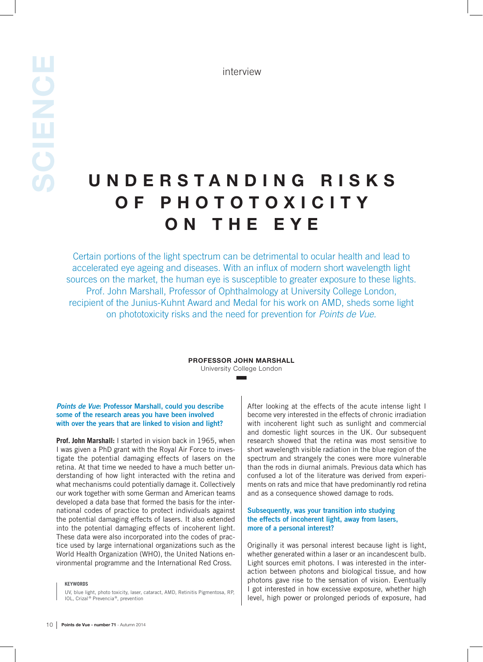# U N D E R S T A N D I N G R I S K S OF PHOTOTOXICITY ON THE EYE

Certain portions of the light spectrum can be detrimental to ocular health and lead to accelerated eye ageing and diseases. With an influx of modern short wavelength light sources on the market, the human eye is susceptible to greater exposure to these lights. Prof. John Marshall, Professor of Ophthalmology at University College London, recipient of the Junius-Kuhnt Award and Medal for his work on AMD, sheds some light on phototoxicity risks and the need for prevention for *Points de Vue.*

#### PROFESSOR JOHN MARSHALL University College London

#### *Points de Vue*: Professor Marshall, could you describe some of the research areas you have been involved with over the years that are linked to vision and light?

**Prof. John Marshall:** I started in vision back in 1965, when I was given a PhD grant with the Royal Air Force to investigate the potential damaging effects of lasers on the retina. At that time we needed to have a much better understanding of how light interacted with the retina and what mechanisms could potentially damage it. Collectively our work together with some German and American teams developed a data base that formed the basis for the international codes of practice to protect individuals against the potential damaging effects of lasers. It also extended into the potential damaging effects of incoherent light. These data were also incorporated into the codes of practice used by large international organizations such as the World Health Organization (WHO), the United Nations environmental programme and the International Red Cross.

#### **KEYWORDS**

UV, blue light, photo toxicity, laser, cataract, AMD, Retinitis Pigmentosa, RP, IOL, Crizal ® Prevencia ®, prevention

After looking at the effects of the acute intense light I become very interested in the effects of chronic irradiation with incoherent light such as sunlight and commercial and domestic light sources in the UK. Our subsequent research showed that the retina was most sensitive to short wavelength visible radiation in the blue region of the spectrum and strangely the cones were more vulnerable than the rods in diurnal animals. Previous data which has confused a lot of the literature was derived from experiments on rats and mice that have predominantly rod retina and as a consequence showed damage to rods.

#### Subsequently, was your transition into studying the effects of incoherent light, away from lasers, more of a personal interest?

Originally it was personal interest because light is light, whether generated within a laser or an incandescent bulb. Light sources emit photons. I was interested in the interaction between photons and biological tissue, and how photons gave rise to the sensation of vision. Eventually I got interested in how excessive exposure, whether high level, high power or prolonged periods of exposure, had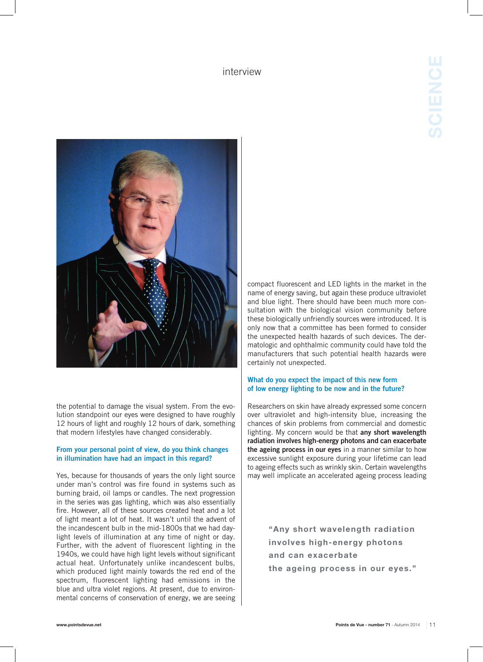

the potential to damage the visual system. From the evolution standpoint our eyes were designed to have roughly 12 hours of light and roughly 12 hours of dark, something that modern lifestyles have changed considerably.

#### From your personal point of view, do you think changes in illumination have had an impact in this regard?

Yes, because for thousands of years the only light source under man's control was fire found in systems such as burning braid, oil lamps or candles. The next progression in the series was gas lighting, which was also essentially fire. However, all of these sources created heat and a lot of light meant a lot of heat. It wasn't until the advent of the incandescent bulb in the mid-1800s that we had daylight levels of illumination at any time of night or day. Further, with the advent of fluorescent lighting in the 1940s, we could have high light levels without significant actual heat. Unfortunately unlike incandescent bulbs, which produced light mainly towards the red end of the spectrum, fluorescent lighting had emissions in the blue and ultra violet regions. At present, due to environmental concerns of conservation of energy, we are seeing

compact fluorescent and LED lights in the market in the name of energy saving, but again these produce ultraviolet and blue light. There should have been much more consultation with the biological vision community before these biologically unfriendly sources were introduced. It is only now that a committee has been formed to consider the unexpected health hazards of such devices. The dermatologic and ophthalmic community could have told the manufacturers that such potential health hazards were certainly not unexpected.

### What do you expect the impact of this new form of low energy lighting to be now and in the future?

Researchers on skin have already expressed some concern over ultraviolet and high-intensity blue, increasing the chances of skin problems from commercial and domestic lighting. My concern would be that any short wavelength radiation involves high-energy photons and can exacerbate the ageing process in our eyes in a manner similar to how excessive sunlight exposure during your lifetime can lead to ageing effects such as wrinkly skin. Certain wavelengths may well implicate an accelerated ageing process leading

> "Any short wavelength radiation involves high-energy photons and can exacerbate the ageing process in our eyes."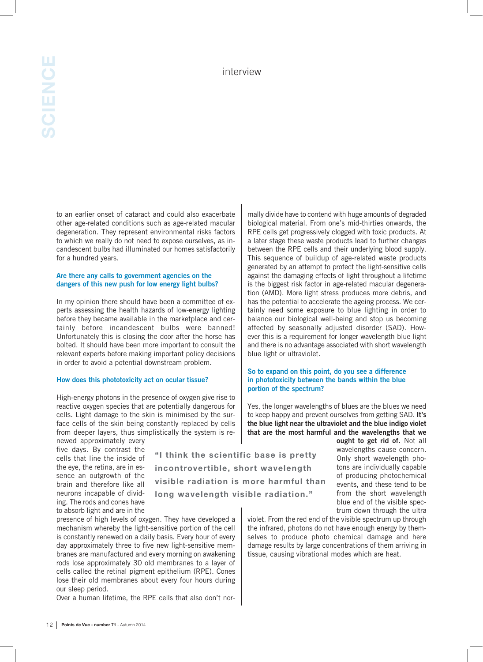to an earlier onset of cataract and could also exacerbate other age-related conditions such as age-related macular degeneration. They represent environmental risks factors to which we really do not need to expose ourselves, as incandescent bulbs had illuminated our homes satisfactorily for a hundred years.

### Are there any calls to government agencies on the dangers of this new push for low energy light bulbs?

In my opinion there should have been a committee of experts assessing the health hazards of low-energy lighting before they became available in the marketplace and certainly before incandescent bulbs were banned! Unfortunately this is closing the door after the horse has bolted. It should have been more important to consult the relevant experts before making important policy decisions in order to avoid a potential downstream problem.

#### How does this phototoxicity act on ocular tissue?

High-energy photons in the presence of oxygen give rise to reactive oxygen species that are potentially dangerous for cells. Light damage to the skin is minimised by the surface cells of the skin being constantly replaced by cells from deeper layers, thus simplistically the system is re-

newed approximately every five days. By contrast the cells that line the inside of the eye, the retina, are in essence an outgrowth of the brain and therefore like all neurons incapable of dividing. The rods and cones have to absorb light and are in the

"I think the scientific base is pretty incontrovertible, short wavelength visible radiation is more harmful than long wavelength visible radiation."

presence of high levels of oxygen. They have developed a mechanism whereby the light-sensitive portion of the cell is constantly renewed on a daily basis. Every hour of every day approximately three to five new light-sensitive membranes are manufactured and every morning on awakening rods lose approximately 30 old membranes to a layer of cells called the retinal pigment epithelium (RPE). Cones lose their old membranes about every four hours during our sleep period.

Over a human lifetime, the RPE cells that also don't nor-

mally divide have to contend with huge amounts of degraded biological material. From one's mid-thirties onwards, the RPE cells get progressively clogged with toxic products. At a later stage these waste products lead to further changes between the RPE cells and their underlying blood supply. This sequence of buildup of age-related waste products generated by an attempt to protect the light-sensitive cells against the damaging effects of light throughout a lifetime is the biggest risk factor in age-related macular degeneration (AMD). More light stress produces more debris, and has the potential to accelerate the ageing process. We certainly need some exposure to blue lighting in order to balance our biological well-being and stop us becoming affected by seasonally adjusted disorder (SAD). However this is a requirement for longer wavelength blue light and there is no advantage associated with short wavelength blue light or ultraviolet.

#### So to expand on this point, do you see a difference in phototoxicity between the bands within the blue portion of the spectrum?

Yes, the longer wavelengths of blues are the blues we need to keep happy and prevent ourselves from getting SAD. It's the blue light near the ultraviolet and the blue indigo violet that are the most harmful and the wavelengths that we

ought to get rid of. Not all wavelengths cause concern. Only short wavelength photons are individually capable of producing photochemical events, and these tend to be from the short wavelength blue end of the visible spectrum down through the ultra

violet. From the red end of the visible spectrum up through the infrared, photons do not have enough energy by themselves to produce photo chemical damage and here damage results by large concentrations of them arriving in tissue, causing vibrational modes which are heat.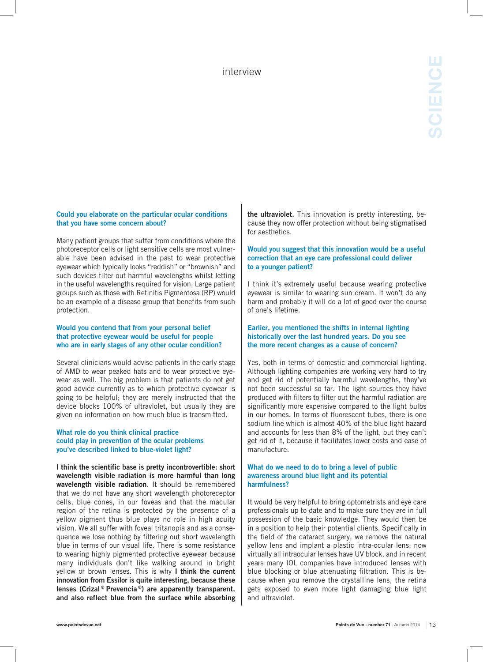### Could you elaborate on the particular ocular conditions that you have some concern about?

Many patient groups that suffer from conditions where the photoreceptor cells or light sensitive cells are most vulnerable have been advised in the past to wear protective eyewear which typically looks "reddish" or "brownish" and such devices filter out harmful wavelengths whilst letting in the useful wavelengths required for vision. Large patient groups such as those with Retinitis Pigmentosa (RP) would be an example of a disease group that benefits from such protection.

#### Would you contend that from your personal belief that protective eyewear would be useful for people who are in early stages of any other ocular condition?

Several clinicians would advise patients in the early stage of AMD to wear peaked hats and to wear protective eyewear as well. The big problem is that patients do not get good advice currently as to which protective eyewear is going to be helpful; they are merely instructed that the device blocks 100% of ultraviolet, but usually they are given no information on how much blue is transmitted.

#### What role do you think clinical practice could play in prevention of the ocular problems you've described linked to blue-violet light?

I think the scientific base is pretty incontrovertible: short wavelength visible radiation is more harmful than long wavelength visible radiation. It should be remembered that we do not have any short wavelength photoreceptor cells, blue cones, in our foveas and that the macular region of the retina is protected by the presence of a yellow pigment thus blue plays no role in high acuity vision. We all suffer with foveal tritanopia and as a consequence we lose nothing by filtering out short wavelength blue in terms of our visual life. There is some resistance to wearing highly pigmented protective eyewear because many individuals don't like walking around in bright yellow or brown lenses. This is why I think the current innovation from Essilor is quite interesting, because these lenses (Crizal ® Prevencia ®) are apparently transparent, and also reflect blue from the surface while absorbing the ultraviolet. This innovation is pretty interesting, because they now offer protection without being stigmatised for aesthetics.

### Would you suggest that this innovation would be a useful correction that an eye care professional could deliver to a younger patient?

I think it's extremely useful because wearing protective eyewear is similar to wearing sun cream. It won't do any harm and probably it will do a lot of good over the course of one's lifetime.

#### Earlier, you mentioned the shifts in internal lighting historically over the last hundred years. Do you see the more recent changes as a cause of concern?

Yes, both in terms of domestic and commercial lighting. Although lighting companies are working very hard to try and get rid of potentially harmful wavelengths, they've not been successful so far. The light sources they have produced with filters to filter out the harmful radiation are significantly more expensive compared to the light bulbs in our homes. In terms of fluorescent tubes, there is one sodium line which is almost 40% of the blue light hazard and accounts for less than 8% of the light, but they can't get rid of it, because it facilitates lower costs and ease of manufacture.

## What do we need to do to bring a level of public awareness around blue light and its potential harmfulness?

It would be very helpful to bring optometrists and eye care professionals up to date and to make sure they are in full possession of the basic knowledge. They would then be in a position to help their potential clients. Specifically in the field of the cataract surgery, we remove the natural yellow lens and implant a plastic intra-ocular lens; now virtually all intraocular lenses have UV block, and in recent years many IOL companies have introduced lenses with blue blocking or blue attenuating filtration. This is because when you remove the crystalline lens, the retina gets exposed to even more light damaging blue light and ultraviolet.